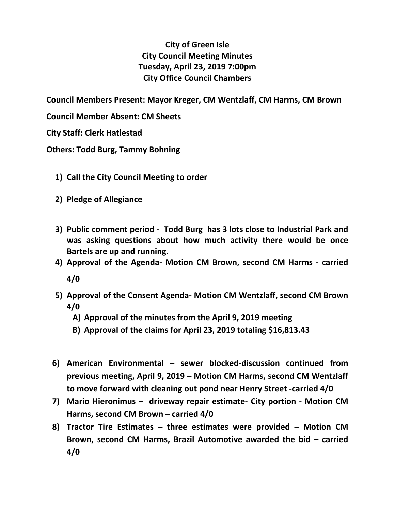## **City of Green Isle City Council Meeting Minutes Tuesday, April 23, 2019 7:00pm City Office Council Chambers**

**Council Members Present: Mayor Kreger, CM Wentzlaff, CM Harms, CM Brown**

**Council Member Absent: CM Sheets**

**City Staff: Clerk Hatlestad**

**Others: Todd Burg, Tammy Bohning**

- **1) Call the City Council Meeting to order**
- **2) Pledge of Allegiance**
- **3) Public comment period Todd Burg has 3 lots close to Industrial Park and was asking questions about how much activity there would be once Bartels are up and running.**
- **4) Approval of the Agenda- Motion CM Brown, second CM Harms carried 4/0**
- **5) Approval of the Consent Agenda- Motion CM Wentzlaff, second CM Brown 4/0**
	- **A) Approval of the minutes from the April 9, 2019 meeting**
	- **B) Approval of the claims for April 23, 2019 totaling \$16,813.43**
- **6) American Environmental sewer blocked-discussion continued from previous meeting, April 9, 2019 – Motion CM Harms, second CM Wentzlaff to move forward with cleaning out pond near Henry Street -carried 4/0**
- **7) Mario Hieronimus driveway repair estimate- City portion Motion CM Harms, second CM Brown – carried 4/0**
- **8) Tractor Tire Estimates three estimates were provided Motion CM Brown, second CM Harms, Brazil Automotive awarded the bid – carried 4/0**